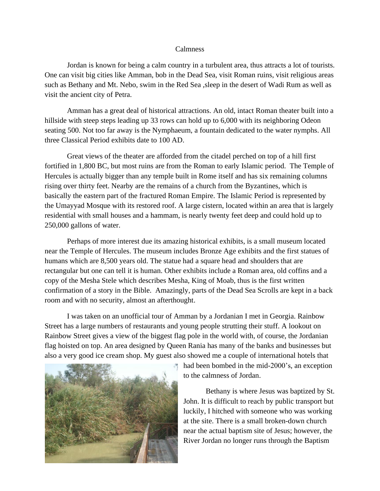## Calmness

Jordan is known for being a calm country in a turbulent area, thus attracts a lot of tourists. One can visit big cities like Amman, bob in the Dead Sea, visit Roman ruins, visit religious areas such as Bethany and Mt. Nebo, swim in the Red Sea ,sleep in the desert of Wadi Rum as well as visit the ancient city of Petra.

Amman has a great deal of historical attractions. An old, intact Roman theater built into a hillside with steep steps leading up 33 rows can hold up to 6,000 with its neighboring Odeon seating 500. Not too far away is the Nymphaeum, a fountain dedicated to the water nymphs. All three Classical Period exhibits date to 100 AD.

Great views of the theater are afforded from the citadel perched on top of a hill first fortified in 1,800 BC, but most ruins are from the Roman to early Islamic period. The Temple of Hercules is actually bigger than any temple built in Rome itself and has six remaining columns rising over thirty feet. Nearby are the remains of a church from the Byzantines, which is basically the eastern part of the fractured Roman Empire. The Islamic Period is represented by the Umayyad Mosque with its restored roof. A large cistern, located within an area that is largely residential with small houses and a hammam, is nearly twenty feet deep and could hold up to 250,000 gallons of water.

Perhaps of more interest due its amazing historical exhibits, is a small museum located near the Temple of Hercules. The museum includes Bronze Age exhibits and the first statues of humans which are 8,500 years old. The statue had a square head and shoulders that are rectangular but one can tell it is human. Other exhibits include a Roman area, old coffins and a copy of the Mesha Stele which describes Mesha, King of Moab, thus is the first written confirmation of a story in the Bible. Amazingly, parts of the Dead Sea Scrolls are kept in a back room and with no security, almost an afterthought.

I was taken on an unofficial tour of Amman by a Jordanian I met in Georgia. Rainbow Street has a large numbers of restaurants and young people strutting their stuff. A lookout on Rainbow Street gives a view of the biggest flag pole in the world with, of course, the Jordanian flag hoisted on top. An area designed by Queen Rania has many of the banks and businesses but also a very good ice cream shop. My guest also showed me a couple of international hotels that



had been bombed in the mid-2000's, an exception to the calmness of Jordan.

Bethany is where Jesus was baptized by St. John. It is difficult to reach by public transport but luckily, I hitched with someone who was working at the site. There is a small broken-down church near the actual baptism site of Jesus; however, the River Jordan no longer runs through the Baptism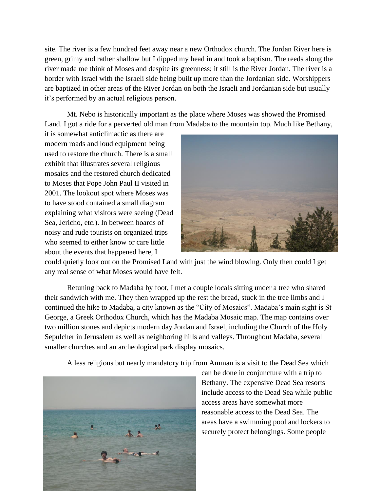site. The river is a few hundred feet away near a new Orthodox church. The Jordan River here is green, grimy and rather shallow but I dipped my head in and took a baptism. The reeds along the river made me think of Moses and despite its greenness; it still is the River Jordan. The river is a border with Israel with the Israeli side being built up more than the Jordanian side. Worshippers are baptized in other areas of the River Jordan on both the Israeli and Jordanian side but usually it's performed by an actual religious person.

Mt. Nebo is historically important as the place where Moses was showed the Promised Land. I got a ride for a perverted old man from Madaba to the mountain top. Much like Bethany,

it is somewhat anticlimactic as there are modern roads and loud equipment being used to restore the church. There is a small exhibit that illustrates several religious mosaics and the restored church dedicated to Moses that Pope John Paul II visited in 2001. The lookout spot where Moses was to have stood contained a small diagram explaining what visitors were seeing (Dead Sea, Jericho, etc.). In between hoards of noisy and rude tourists on organized trips who seemed to either know or care little about the events that happened here, I



could quietly look out on the Promised Land with just the wind blowing. Only then could I get any real sense of what Moses would have felt.

Retuning back to Madaba by foot, I met a couple locals sitting under a tree who shared their sandwich with me. They then wrapped up the rest the bread, stuck in the tree limbs and I continued the hike to Madaba, a city known as the "City of Mosaics". Madaba's main sight is St George, a Greek Orthodox Church, which has the Madaba Mosaic map. The map contains over two million stones and depicts modern day Jordan and Israel, including the Church of the Holy Sepulcher in Jerusalem as well as neighboring hills and valleys. Throughout Madaba, several smaller churches and an archeological park display mosaics.

A less religious but nearly mandatory trip from Amman is a visit to the Dead Sea which



can be done in conjuncture with a trip to Bethany. The expensive Dead Sea resorts include access to the Dead Sea while public access areas have somewhat more reasonable access to the Dead Sea. The areas have a swimming pool and lockers to securely protect belongings. Some people